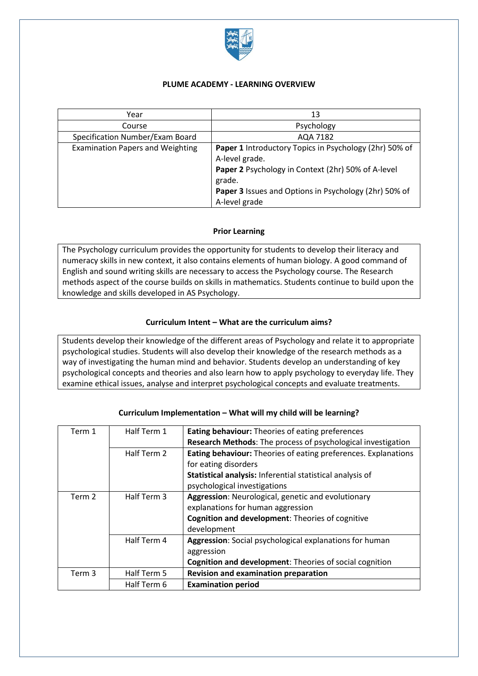

### **PLUME ACADEMY - LEARNING OVERVIEW**

| Year                                    | 13                                                     |
|-----------------------------------------|--------------------------------------------------------|
| Course                                  | Psychology                                             |
| Specification Number/Exam Board         | AQA 7182                                               |
| <b>Examination Papers and Weighting</b> | Paper 1 Introductory Topics in Psychology (2hr) 50% of |
|                                         | A-level grade.                                         |
|                                         | Paper 2 Psychology in Context (2hr) 50% of A-level     |
|                                         | grade.                                                 |
|                                         | Paper 3 Issues and Options in Psychology (2hr) 50% of  |
|                                         | A-level grade                                          |

# **Prior Learning**

The Psychology curriculum provides the opportunity for students to develop their literacy and numeracy skills in new context, it also contains elements of human biology. A good command of English and sound writing skills are necessary to access the Psychology course. The Research methods aspect of the course builds on skills in mathematics. Students continue to build upon the knowledge and skills developed in AS Psychology.

# **Curriculum Intent – What are the curriculum aims?**

Students develop their knowledge of the different areas of Psychology and relate it to appropriate psychological studies. Students will also develop their knowledge of the research methods as a way of investigating the human mind and behavior. Students develop an understanding of key psychological concepts and theories and also learn how to apply psychology to everyday life. They examine ethical issues, analyse and interpret psychological concepts and evaluate treatments.

| Term 1            | Half Term 1 | <b>Eating behaviour:</b> Theories of eating preferences        |
|-------------------|-------------|----------------------------------------------------------------|
|                   |             | Research Methods: The process of psychological investigation   |
|                   | Half Term 2 | Eating behaviour: Theories of eating preferences. Explanations |
|                   |             | for eating disorders                                           |
|                   |             | Statistical analysis: Inferential statistical analysis of      |
|                   |             | psychological investigations                                   |
| Term 2            | Half Term 3 | Aggression: Neurological, genetic and evolutionary             |
|                   |             | explanations for human aggression                              |
|                   |             | Cognition and development: Theories of cognitive               |
|                   |             | development                                                    |
|                   | Half Term 4 | Aggression: Social psychological explanations for human        |
|                   |             | aggression                                                     |
|                   |             | <b>Cognition and development:</b> Theories of social cognition |
| Term <sub>3</sub> | Half Term 5 | <b>Revision and examination preparation</b>                    |
|                   | Half Term 6 | <b>Examination period</b>                                      |

# **Curriculum Implementation – What will my child will be learning?**